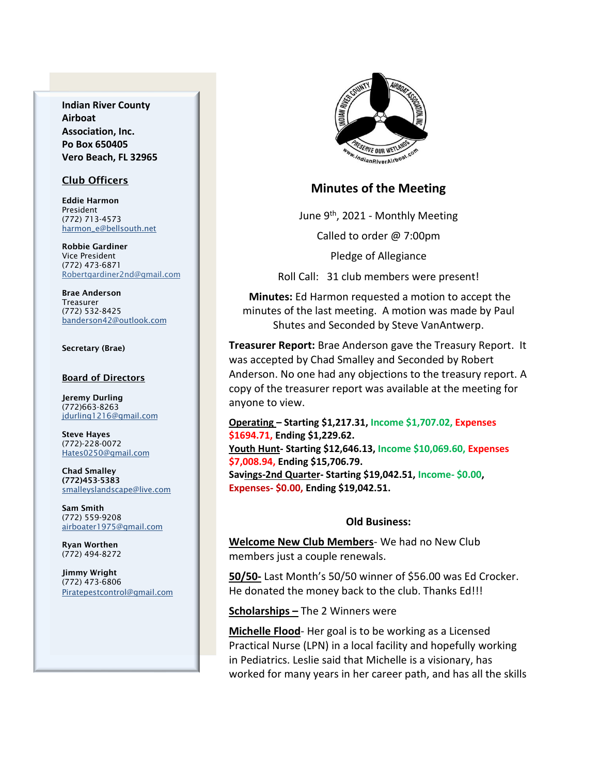**Indian River County Airboat Association, Inc. Po Box 650405 Vero Beach, FL 32965**

### Club Officers

Eddie Harmon President (772) 713-4573 [harmon\\_e@bellsouth.net](mailto:dougflood772@aol.com)

Robbie Gardiner Vice President (772) 473-6871 [Robertgardiner2nd@gmail.com](mailto:Robertgardiner2nd@gmail.com)

Brae Anderson Treasurer (772) 532-8425 [banderson42@outlook.com](mailto:banderson42@outlook.com)

#### Secretary (Brae)

#### Board of Directors

Jeremy Durling (772)663-8263 [jdurling1216@gmail.com](mailto:shufamil@peoplepc.com)

Steve Hayes (772)-228-0072 Hates0250@gmail.com

Chad Smalley (772)453-5383 smalleyslandscape@live.com

Sam Smith (772) 559-9208 [airboater1975@gmail.com](mailto:Airboater22@gmail.com)

Ryan Worthen (772) 494-8272

Jimmy Wright (772) 473-6806 Piratepestcontrol@gmail.com



### **Minutes of the Meeting**

June 9th, 2021 - Monthly Meeting

Called to order @ 7:00pm

Pledge of Allegiance

Roll Call: 31 club members were present!

**Minutes:** Ed Harmon requested a motion to accept the minutes of the last meeting. A motion was made by Paul Shutes and Seconded by Steve VanAntwerp.

**Treasurer Report:** Brae Anderson gave the Treasury Report. It was accepted by Chad Smalley and Seconded by Robert Anderson. No one had any objections to the treasury report. A copy of the treasurer report was available at the meeting for anyone to view.

**Operating – Starting \$1,217.31, Income \$1,707.02, Expenses \$1694.71, Ending \$1,229.62. Youth Hunt- Starting \$12,646.13, Income \$10,069.60, Expenses \$7,008.94, Ending \$15,706.79. Savings-2nd Quarter- Starting \$19,042.51, Income- \$0.00, Expenses- \$0.00, Ending \$19,042.51.**

### **Old Business:**

**Welcome New Club Members**- We had no New Club members just a couple renewals.

**50/50-** Last Month's 50/50 winner of \$56.00 was Ed Crocker. He donated the money back to the club. Thanks Ed!!!

**Scholarships –** The 2 Winners were

**Michelle Flood**- Her goal is to be working as a Licensed Practical Nurse (LPN) in a local facility and hopefully working in Pediatrics. Leslie said that Michelle is a visionary, has worked for many years in her career path, and has all the skills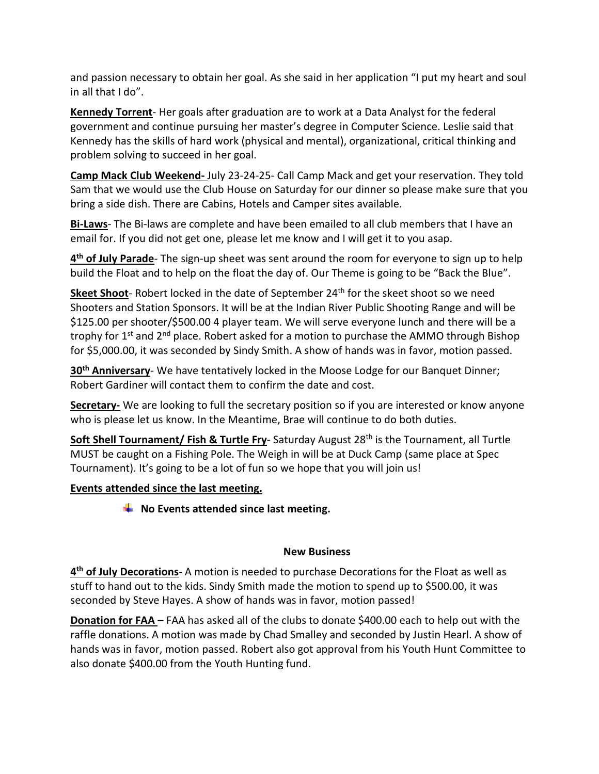and passion necessary to obtain her goal. As she said in her application "I put my heart and soul in all that I do".

**Kennedy Torrent**- Her goals after graduation are to work at a Data Analyst for the federal government and continue pursuing her master's degree in Computer Science. Leslie said that Kennedy has the skills of hard work (physical and mental), organizational, critical thinking and problem solving to succeed in her goal.

**Camp Mack Club Weekend-** July 23-24-25- Call Camp Mack and get your reservation. They told Sam that we would use the Club House on Saturday for our dinner so please make sure that you bring a side dish. There are Cabins, Hotels and Camper sites available.

**Bi-Laws**- The Bi-laws are complete and have been emailed to all club members that I have an email for. If you did not get one, please let me know and I will get it to you asap.

**4 th of July Parade**- The sign-up sheet was sent around the room for everyone to sign up to help build the Float and to help on the float the day of. Our Theme is going to be "Back the Blue".

Skeet Shoot- Robert locked in the date of September 24<sup>th</sup> for the skeet shoot so we need Shooters and Station Sponsors. It will be at the Indian River Public Shooting Range and will be \$125.00 per shooter/\$500.00 4 player team. We will serve everyone lunch and there will be a trophy for 1<sup>st</sup> and 2<sup>nd</sup> place. Robert asked for a motion to purchase the AMMO through Bishop for \$5,000.00, it was seconded by Sindy Smith. A show of hands was in favor, motion passed.

**30th Anniversary**- We have tentatively locked in the Moose Lodge for our Banquet Dinner; Robert Gardiner will contact them to confirm the date and cost.

**Secretary-** We are looking to full the secretary position so if you are interested or know anyone who is please let us know. In the Meantime, Brae will continue to do both duties.

**Soft Shell Tournament/ Fish & Turtle Fry-** Saturday August 28<sup>th</sup> is the Tournament, all Turtle MUST be caught on a Fishing Pole. The Weigh in will be at Duck Camp (same place at Spec Tournament). It's going to be a lot of fun so we hope that you will join us!

# **Events attended since the last meeting.**

**EXECUTE:** No Events attended since last meeting.

# **New Business**

**4 th of July Decorations**- A motion is needed to purchase Decorations for the Float as well as stuff to hand out to the kids. Sindy Smith made the motion to spend up to \$500.00, it was seconded by Steve Hayes. A show of hands was in favor, motion passed!

**Donation for FAA –** FAA has asked all of the clubs to donate \$400.00 each to help out with the raffle donations. A motion was made by Chad Smalley and seconded by Justin Hearl. A show of hands was in favor, motion passed. Robert also got approval from his Youth Hunt Committee to also donate \$400.00 from the Youth Hunting fund.